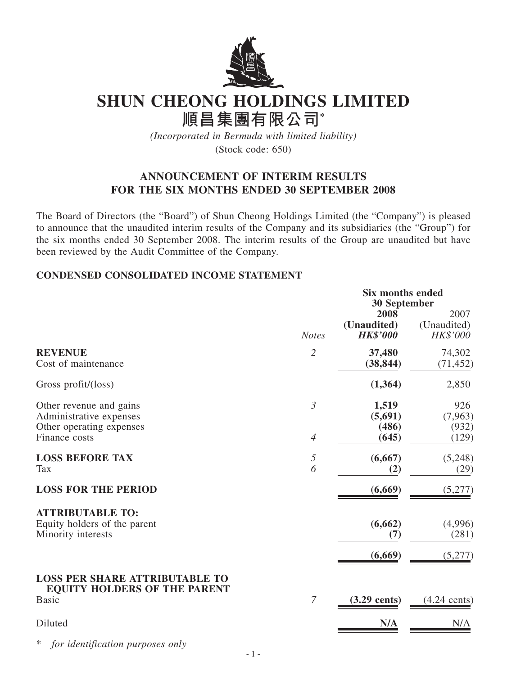

# **SHUN CHEONG HOLDINGS LIMITED**

**順昌集團有限公司\***

*(Incorporated in Bermuda with limited liability)* (Stock code: 650)

## **ANNOUNCEMENT OF INTERIM RESULTS FOR THE SIX MONTHS ENDED 30 SEPTEMBER 2008**

The Board of Directors (the "Board") of Shun Cheong Holdings Limited (the "Company") is pleased to announce that the unaudited interim results of the Company and its subsidiaries (the "Group") for the six months ended 30 September 2008. The interim results of the Group are unaudited but have been reviewed by the Audit Committee of the Company.

## **CONDENSED CONSOLIDATED INCOME STATEMENT**

|                                                                                              | <b>Six months ended</b><br><b>30 September</b> |                                        |                                        |  |
|----------------------------------------------------------------------------------------------|------------------------------------------------|----------------------------------------|----------------------------------------|--|
|                                                                                              | <b>Notes</b>                                   | 2008<br>(Unaudited)<br><b>HK\$'000</b> | 2007<br>(Unaudited)<br><b>HK\$'000</b> |  |
| <b>REVENUE</b><br>Cost of maintenance                                                        | $\overline{2}$                                 | 37,480<br>(38, 844)                    | 74,302<br>(71, 452)                    |  |
| Gross profit/(loss)                                                                          |                                                | (1, 364)                               | 2,850                                  |  |
| Other revenue and gains<br>Administrative expenses<br>Other operating expenses               | $\mathfrak{Z}$                                 | 1,519<br>(5,691)<br>(486)              | 926<br>(7,963)<br>(932)                |  |
| Finance costs                                                                                | $\overline{4}$                                 | (645)                                  | (129)                                  |  |
| <b>LOSS BEFORE TAX</b><br><b>Tax</b>                                                         | $\sqrt{2}$<br>6                                | (6,667)<br>(2)                         | (5,248)<br>(29)                        |  |
| <b>LOSS FOR THE PERIOD</b>                                                                   |                                                | (6,669)                                | (5,277)                                |  |
| <b>ATTRIBUTABLE TO:</b><br>Equity holders of the parent<br>Minority interests                |                                                | (6, 662)<br>(7)<br>(6,669)             | (4,996)<br>(281)<br>(5,277)            |  |
| <b>LOSS PER SHARE ATTRIBUTABLE TO</b><br><b>EQUITY HOLDERS OF THE PARENT</b><br><b>Basic</b> | $\overline{7}$                                 | $(3.29 \text{ cents})$                 | $(4.24 \text{ cents})$                 |  |
| Diluted                                                                                      |                                                | N/A                                    | N/A                                    |  |

\* *for identification purposes only*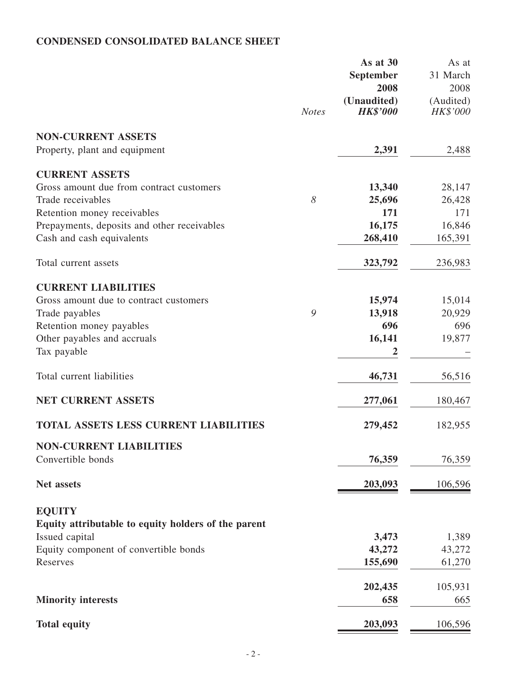## **CONDENSED CONSOLIDATED BALANCE SHEET**

|                                                     |              | As at 30<br>September          | As at<br>31 March     |
|-----------------------------------------------------|--------------|--------------------------------|-----------------------|
|                                                     |              | 2008                           | 2008                  |
|                                                     | <b>Notes</b> | (Unaudited)<br><b>HK\$'000</b> | (Audited)<br>HK\$'000 |
| <b>NON-CURRENT ASSETS</b>                           |              |                                |                       |
| Property, plant and equipment                       |              | 2,391                          | 2,488                 |
| <b>CURRENT ASSETS</b>                               |              |                                |                       |
| Gross amount due from contract customers            |              | 13,340                         | 28,147                |
| Trade receivables                                   | 8            | 25,696                         | 26,428                |
| Retention money receivables                         |              | 171                            | 171                   |
| Prepayments, deposits and other receivables         |              | 16,175                         | 16,846                |
| Cash and cash equivalents                           |              | 268,410                        | 165,391               |
| Total current assets                                |              | 323,792                        | 236,983               |
| <b>CURRENT LIABILITIES</b>                          |              |                                |                       |
| Gross amount due to contract customers              |              | 15,974                         | 15,014                |
| Trade payables                                      | 9            | 13,918                         | 20,929                |
| Retention money payables                            |              | 696                            | 696                   |
| Other payables and accruals                         |              | 16,141                         | 19,877                |
| Tax payable                                         |              | 2                              |                       |
| Total current liabilities                           |              | 46,731                         | 56,516                |
| <b>NET CURRENT ASSETS</b>                           |              | 277,061                        | 180,467               |
| <b>TOTAL ASSETS LESS CURRENT LIABILITIES</b>        |              | 279,452                        | 182,955               |
| <b>NON-CURRENT LIABILITIES</b>                      |              |                                |                       |
| Convertible bonds                                   |              | 76,359                         | 76,359                |
| Net assets                                          |              | 203,093                        | 106,596               |
| <b>EQUITY</b>                                       |              |                                |                       |
| Equity attributable to equity holders of the parent |              |                                |                       |
| Issued capital                                      |              | 3,473                          | 1,389                 |
| Equity component of convertible bonds               |              | 43,272                         | 43,272                |
| Reserves                                            |              | 155,690                        | 61,270                |
|                                                     |              | 202,435                        | 105,931               |
| <b>Minority interests</b>                           |              | 658                            | 665                   |
| <b>Total equity</b>                                 |              | 203,093                        | 106,596               |
|                                                     |              |                                |                       |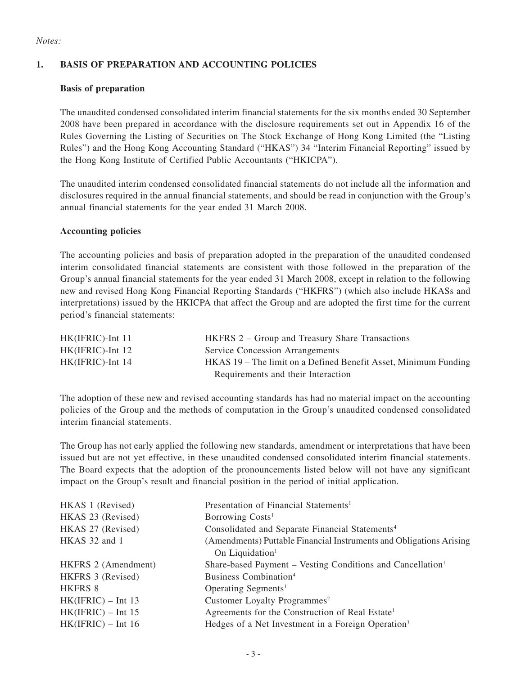#### *Notes:*

#### **1. BASIS OF PREPARATION AND ACCOUNTING POLICIES**

#### **Basis of preparation**

The unaudited condensed consolidated interim financial statements for the six months ended 30 September 2008 have been prepared in accordance with the disclosure requirements set out in Appendix 16 of the Rules Governing the Listing of Securities on The Stock Exchange of Hong Kong Limited (the "Listing Rules") and the Hong Kong Accounting Standard ("HKAS") 34 "Interim Financial Reporting" issued by the Hong Kong Institute of Certified Public Accountants ("HKICPA").

The unaudited interim condensed consolidated financial statements do not include all the information and disclosures required in the annual financial statements, and should be read in conjunction with the Group's annual financial statements for the year ended 31 March 2008.

#### **Accounting policies**

The accounting policies and basis of preparation adopted in the preparation of the unaudited condensed interim consolidated financial statements are consistent with those followed in the preparation of the Group's annual financial statements for the year ended 31 March 2008, except in relation to the following new and revised Hong Kong Financial Reporting Standards ("HKFRS") (which also include HKASs and interpretations) issued by the HKICPA that affect the Group and are adopted the first time for the current period's financial statements:

| $HK(IFRIC)$ -Int 11 | HKFRS 2 – Group and Treasury Share Transactions                 |
|---------------------|-----------------------------------------------------------------|
| $HK(IFRIC)$ -Int 12 | <b>Service Concession Arrangements</b>                          |
| $HK(IFRIC)$ -Int 14 | HKAS 19 – The limit on a Defined Benefit Asset, Minimum Funding |
|                     | Requirements and their Interaction                              |

The adoption of these new and revised accounting standards has had no material impact on the accounting policies of the Group and the methods of computation in the Group's unaudited condensed consolidated interim financial statements.

The Group has not early applied the following new standards, amendment or interpretations that have been issued but are not yet effective, in these unaudited condensed consolidated interim financial statements. The Board expects that the adoption of the pronouncements listed below will not have any significant impact on the Group's result and financial position in the period of initial application.

| Presentation of Financial Statements <sup>1</sup>                                                  |
|----------------------------------------------------------------------------------------------------|
| Borrowing Costs <sup>1</sup>                                                                       |
| Consolidated and Separate Financial Statements <sup>4</sup>                                        |
| (Amendments) Puttable Financial Instruments and Obligations Arising<br>On Liquidation <sup>1</sup> |
| Share-based Payment – Vesting Conditions and Cancellation <sup>1</sup>                             |
| Business Combination <sup>4</sup>                                                                  |
| Operating Segments <sup>1</sup>                                                                    |
| Customer Loyalty Programmes <sup>2</sup>                                                           |
| Agreements for the Construction of Real Estate <sup>1</sup>                                        |
| Hedges of a Net Investment in a Foreign Operation <sup>3</sup>                                     |
|                                                                                                    |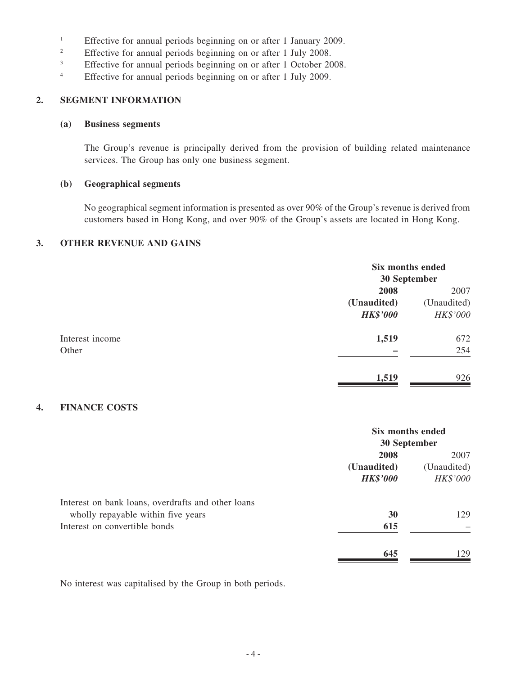- <sup>1</sup> Effective for annual periods beginning on or after 1 January 2009.
- <sup>2</sup> Effective for annual periods beginning on or after 1 July 2008.<br> **Effective for annual periods beginning on or after 1 October 20**
- Effective for annual periods beginning on or after 1 October 2008.
- <sup>4</sup> Effective for annual periods beginning on or after 1 July 2009.

#### **2. SEGMENT INFORMATION**

#### **(a) Business segments**

The Group's revenue is principally derived from the provision of building related maintenance services. The Group has only one business segment.

#### **(b) Geographical segments**

No geographical segment information is presented as over 90% of the Group's revenue is derived from customers based in Hong Kong, and over 90% of the Group's assets are located in Hong Kong.

#### **3. OTHER REVENUE AND GAINS**

|                 | Six months ended<br>30 September |             |
|-----------------|----------------------------------|-------------|
|                 |                                  |             |
|                 | 2008                             | 2007        |
|                 | (Unaudited)                      | (Unaudited) |
|                 | <b>HK\$'000</b>                  | HK\$'000    |
| Interest income | 1,519                            | 672         |
| Other           |                                  | 254         |
|                 | 1,519                            | 926         |

#### **4. FINANCE COSTS**

|                                                    | Six months ended<br>30 September |             |
|----------------------------------------------------|----------------------------------|-------------|
|                                                    | 2008                             | 2007        |
|                                                    | (Unaudited)                      | (Unaudited) |
|                                                    | <b>HK\$'000</b>                  | HK\$'000    |
| Interest on bank loans, overdrafts and other loans |                                  |             |
| wholly repayable within five years                 | 30                               | 129         |
| Interest on convertible bonds                      | 615                              |             |
|                                                    | 645                              | 129         |

No interest was capitalised by the Group in both periods.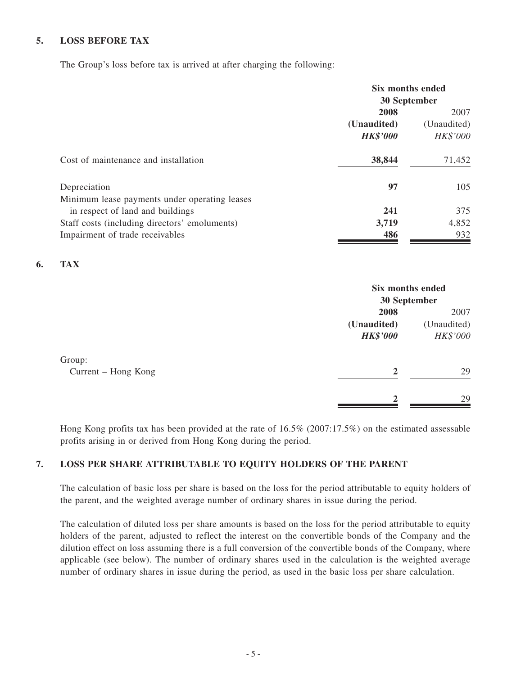#### **5. LOSS BEFORE TAX**

The Group's loss before tax is arrived at after charging the following:

|                                               | Six months ended |             |
|-----------------------------------------------|------------------|-------------|
|                                               | 30 September     |             |
|                                               | 2008             | 2007        |
|                                               | (Unaudited)      | (Unaudited) |
|                                               | <b>HK\$'000</b>  | HK\$'000    |
| Cost of maintenance and installation          | 38,844           | 71,452      |
| Depreciation                                  | 97               | 105         |
| Minimum lease payments under operating leases |                  |             |
| in respect of land and buildings              | 241              | 375         |
| Staff costs (including directors' emoluments) | 3,719            | 4,852       |
| Impairment of trade receivables               | 486              | 932         |

#### **6. TAX**

|                               |                                        | Six months ended<br>30 September |  |
|-------------------------------|----------------------------------------|----------------------------------|--|
|                               | 2008<br>(Unaudited)<br><b>HK\$'000</b> | 2007<br>(Unaudited)<br>HK\$'000  |  |
| Group:<br>Current – Hong Kong | $\overline{2}$                         | 29                               |  |
|                               | າ                                      | 29                               |  |

Hong Kong profits tax has been provided at the rate of 16.5% (2007:17.5%) on the estimated assessable profits arising in or derived from Hong Kong during the period.

#### **7. LOSS PER SHARE ATTRIBUTABLE TO EQUITY HOLDERS OF THE PARENT**

The calculation of basic loss per share is based on the loss for the period attributable to equity holders of the parent, and the weighted average number of ordinary shares in issue during the period.

The calculation of diluted loss per share amounts is based on the loss for the period attributable to equity holders of the parent, adjusted to reflect the interest on the convertible bonds of the Company and the dilution effect on loss assuming there is a full conversion of the convertible bonds of the Company, where applicable (see below). The number of ordinary shares used in the calculation is the weighted average number of ordinary shares in issue during the period, as used in the basic loss per share calculation.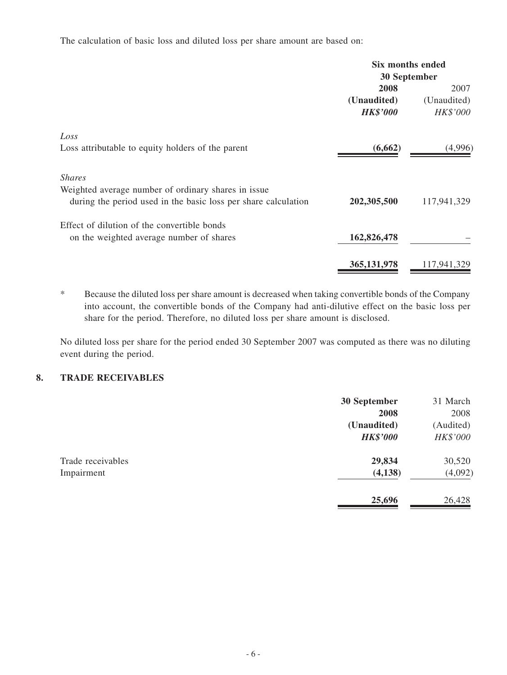The calculation of basic loss and diluted loss per share amount are based on:

|                                                                | Six months ended |             |
|----------------------------------------------------------------|------------------|-------------|
|                                                                | 30 September     |             |
|                                                                | 2008             | 2007        |
|                                                                | (Unaudited)      | (Unaudited) |
|                                                                | <b>HK\$'000</b>  | HK\$'000    |
| Loss                                                           |                  |             |
| Loss attributable to equity holders of the parent              | (6,662)          | (4,996)     |
| <b>Shares</b>                                                  |                  |             |
| Weighted average number of ordinary shares in issue            |                  |             |
| during the period used in the basic loss per share calculation | 202,305,500      | 117,941,329 |
| Effect of dilution of the convertible bonds                    |                  |             |
| on the weighted average number of shares                       | 162,826,478      |             |
|                                                                | 365, 131, 978    | 117,941,329 |
|                                                                |                  |             |

\* Because the diluted loss per share amount is decreased when taking convertible bonds of the Company into account, the convertible bonds of the Company had anti-dilutive effect on the basic loss per share for the period. Therefore, no diluted loss per share amount is disclosed.

No diluted loss per share for the period ended 30 September 2007 was computed as there was no diluting event during the period.

#### **8. TRADE RECEIVABLES**

|                                 | 30 September<br>2008           | 31 March<br>2008      |
|---------------------------------|--------------------------------|-----------------------|
|                                 | (Unaudited)<br><b>HK\$'000</b> | (Audited)<br>HK\$'000 |
| Trade receivables<br>Impairment | 29,834<br>(4,138)              | 30,520<br>(4,092)     |
|                                 | 25,696                         | 26,428                |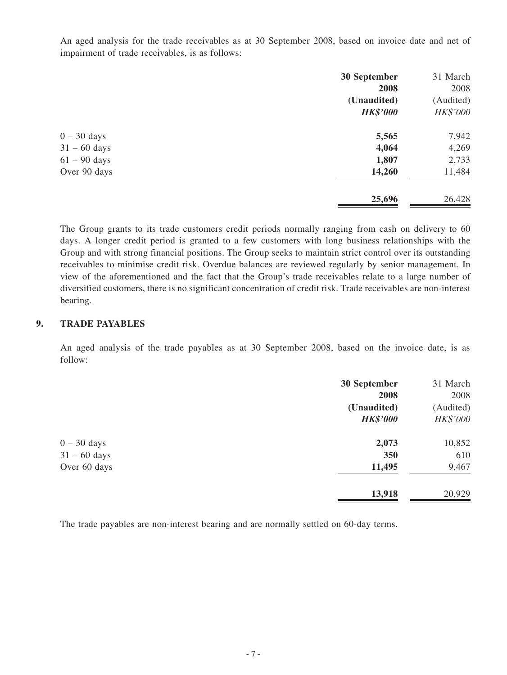An aged analysis for the trade receivables as at 30 September 2008, based on invoice date and net of impairment of trade receivables, is as follows:

|                | 30 September    | 31 March  |
|----------------|-----------------|-----------|
|                | 2008            | 2008      |
|                | (Unaudited)     | (Audited) |
|                | <b>HK\$'000</b> | HK\$'000  |
| $0 - 30$ days  | 5,565           | 7,942     |
| $31 - 60$ days | 4,064           | 4,269     |
| $61 - 90$ days | 1,807           | 2,733     |
| Over 90 days   | 14,260          | 11,484    |
|                | 25,696          | 26,428    |

The Group grants to its trade customers credit periods normally ranging from cash on delivery to 60 days. A longer credit period is granted to a few customers with long business relationships with the Group and with strong financial positions. The Group seeks to maintain strict control over its outstanding receivables to minimise credit risk. Overdue balances are reviewed regularly by senior management. In view of the aforementioned and the fact that the Group's trade receivables relate to a large number of diversified customers, there is no significant concentration of credit risk. Trade receivables are non-interest bearing.

#### **9. TRADE PAYABLES**

An aged analysis of the trade payables as at 30 September 2008, based on the invoice date, is as follow:

|                | 30 September    | 31 March  |
|----------------|-----------------|-----------|
|                | 2008            | 2008      |
|                | (Unaudited)     | (Audited) |
|                | <b>HK\$'000</b> | HK\$'000  |
| $0 - 30$ days  | 2,073           | 10,852    |
| $31 - 60$ days | 350             | 610       |
| Over 60 days   | 11,495          | 9,467     |
|                | 13,918          | 20,929    |

The trade payables are non-interest bearing and are normally settled on 60-day terms.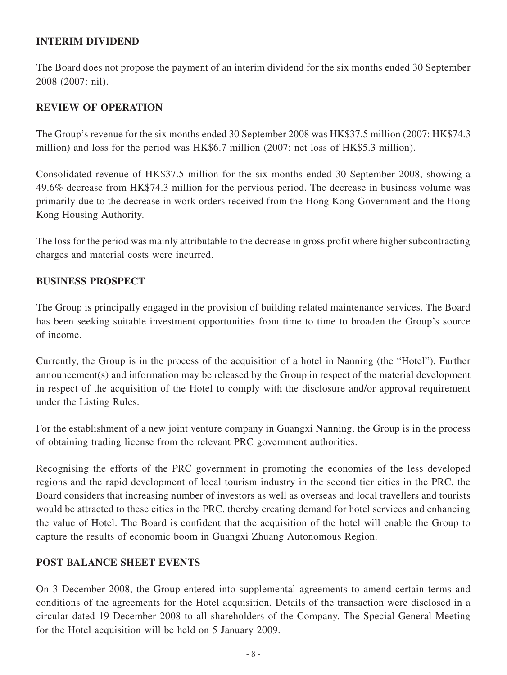## **INTERIM DIVIDEND**

The Board does not propose the payment of an interim dividend for the six months ended 30 September 2008 (2007: nil).

## **REVIEW OF OPERATION**

The Group's revenue for the six months ended 30 September 2008 was HK\$37.5 million (2007: HK\$74.3 million) and loss for the period was HK\$6.7 million (2007: net loss of HK\$5.3 million).

Consolidated revenue of HK\$37.5 million for the six months ended 30 September 2008, showing a 49.6% decrease from HK\$74.3 million for the pervious period. The decrease in business volume was primarily due to the decrease in work orders received from the Hong Kong Government and the Hong Kong Housing Authority.

The loss for the period was mainly attributable to the decrease in gross profit where higher subcontracting charges and material costs were incurred.

## **BUSINESS PROSPECT**

The Group is principally engaged in the provision of building related maintenance services. The Board has been seeking suitable investment opportunities from time to time to broaden the Group's source of income.

Currently, the Group is in the process of the acquisition of a hotel in Nanning (the "Hotel"). Further announcement(s) and information may be released by the Group in respect of the material development in respect of the acquisition of the Hotel to comply with the disclosure and/or approval requirement under the Listing Rules.

For the establishment of a new joint venture company in Guangxi Nanning, the Group is in the process of obtaining trading license from the relevant PRC government authorities.

Recognising the efforts of the PRC government in promoting the economies of the less developed regions and the rapid development of local tourism industry in the second tier cities in the PRC, the Board considers that increasing number of investors as well as overseas and local travellers and tourists would be attracted to these cities in the PRC, thereby creating demand for hotel services and enhancing the value of Hotel. The Board is confident that the acquisition of the hotel will enable the Group to capture the results of economic boom in Guangxi Zhuang Autonomous Region.

## **POST BALANCE SHEET EVENTS**

On 3 December 2008, the Group entered into supplemental agreements to amend certain terms and conditions of the agreements for the Hotel acquisition. Details of the transaction were disclosed in a circular dated 19 December 2008 to all shareholders of the Company. The Special General Meeting for the Hotel acquisition will be held on 5 January 2009.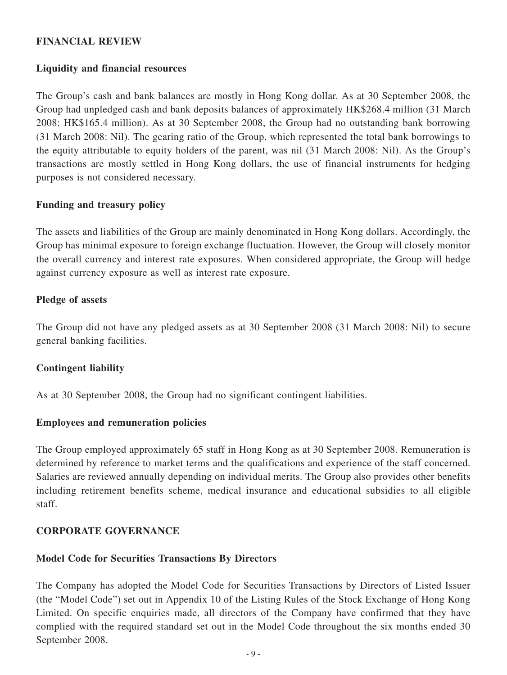## **FINANCIAL REVIEW**

## **Liquidity and financial resources**

The Group's cash and bank balances are mostly in Hong Kong dollar. As at 30 September 2008, the Group had unpledged cash and bank deposits balances of approximately HK\$268.4 million (31 March 2008: HK\$165.4 million). As at 30 September 2008, the Group had no outstanding bank borrowing (31 March 2008: Nil). The gearing ratio of the Group, which represented the total bank borrowings to the equity attributable to equity holders of the parent, was nil (31 March 2008: Nil). As the Group's transactions are mostly settled in Hong Kong dollars, the use of financial instruments for hedging purposes is not considered necessary.

#### **Funding and treasury policy**

The assets and liabilities of the Group are mainly denominated in Hong Kong dollars. Accordingly, the Group has minimal exposure to foreign exchange fluctuation. However, the Group will closely monitor the overall currency and interest rate exposures. When considered appropriate, the Group will hedge against currency exposure as well as interest rate exposure.

## **Pledge of assets**

The Group did not have any pledged assets as at 30 September 2008 (31 March 2008: Nil) to secure general banking facilities.

## **Contingent liability**

As at 30 September 2008, the Group had no significant contingent liabilities.

#### **Employees and remuneration policies**

The Group employed approximately 65 staff in Hong Kong as at 30 September 2008. Remuneration is determined by reference to market terms and the qualifications and experience of the staff concerned. Salaries are reviewed annually depending on individual merits. The Group also provides other benefits including retirement benefits scheme, medical insurance and educational subsidies to all eligible staff.

## **CORPORATE GOVERNANCE**

## **Model Code for Securities Transactions By Directors**

The Company has adopted the Model Code for Securities Transactions by Directors of Listed Issuer (the "Model Code") set out in Appendix 10 of the Listing Rules of the Stock Exchange of Hong Kong Limited. On specific enquiries made, all directors of the Company have confirmed that they have complied with the required standard set out in the Model Code throughout the six months ended 30 September 2008.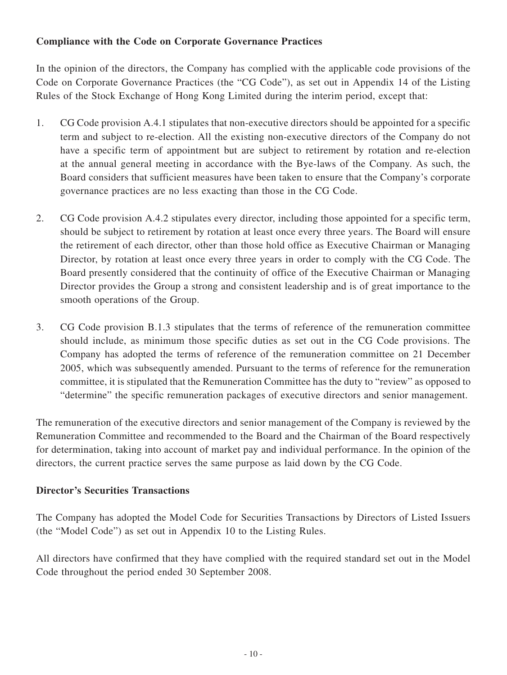## **Compliance with the Code on Corporate Governance Practices**

In the opinion of the directors, the Company has complied with the applicable code provisions of the Code on Corporate Governance Practices (the "CG Code"), as set out in Appendix 14 of the Listing Rules of the Stock Exchange of Hong Kong Limited during the interim period, except that:

- 1. CG Code provision A.4.1 stipulates that non-executive directors should be appointed for a specific term and subject to re-election. All the existing non-executive directors of the Company do not have a specific term of appointment but are subject to retirement by rotation and re-election at the annual general meeting in accordance with the Bye-laws of the Company. As such, the Board considers that sufficient measures have been taken to ensure that the Company's corporate governance practices are no less exacting than those in the CG Code.
- 2. CG Code provision A.4.2 stipulates every director, including those appointed for a specific term, should be subject to retirement by rotation at least once every three years. The Board will ensure the retirement of each director, other than those hold office as Executive Chairman or Managing Director, by rotation at least once every three years in order to comply with the CG Code. The Board presently considered that the continuity of office of the Executive Chairman or Managing Director provides the Group a strong and consistent leadership and is of great importance to the smooth operations of the Group.
- 3. CG Code provision B.1.3 stipulates that the terms of reference of the remuneration committee should include, as minimum those specific duties as set out in the CG Code provisions. The Company has adopted the terms of reference of the remuneration committee on 21 December 2005, which was subsequently amended. Pursuant to the terms of reference for the remuneration committee, it is stipulated that the Remuneration Committee has the duty to "review" as opposed to "determine" the specific remuneration packages of executive directors and senior management.

The remuneration of the executive directors and senior management of the Company is reviewed by the Remuneration Committee and recommended to the Board and the Chairman of the Board respectively for determination, taking into account of market pay and individual performance. In the opinion of the directors, the current practice serves the same purpose as laid down by the CG Code.

## **Director's Securities Transactions**

The Company has adopted the Model Code for Securities Transactions by Directors of Listed Issuers (the "Model Code") as set out in Appendix 10 to the Listing Rules.

All directors have confirmed that they have complied with the required standard set out in the Model Code throughout the period ended 30 September 2008.